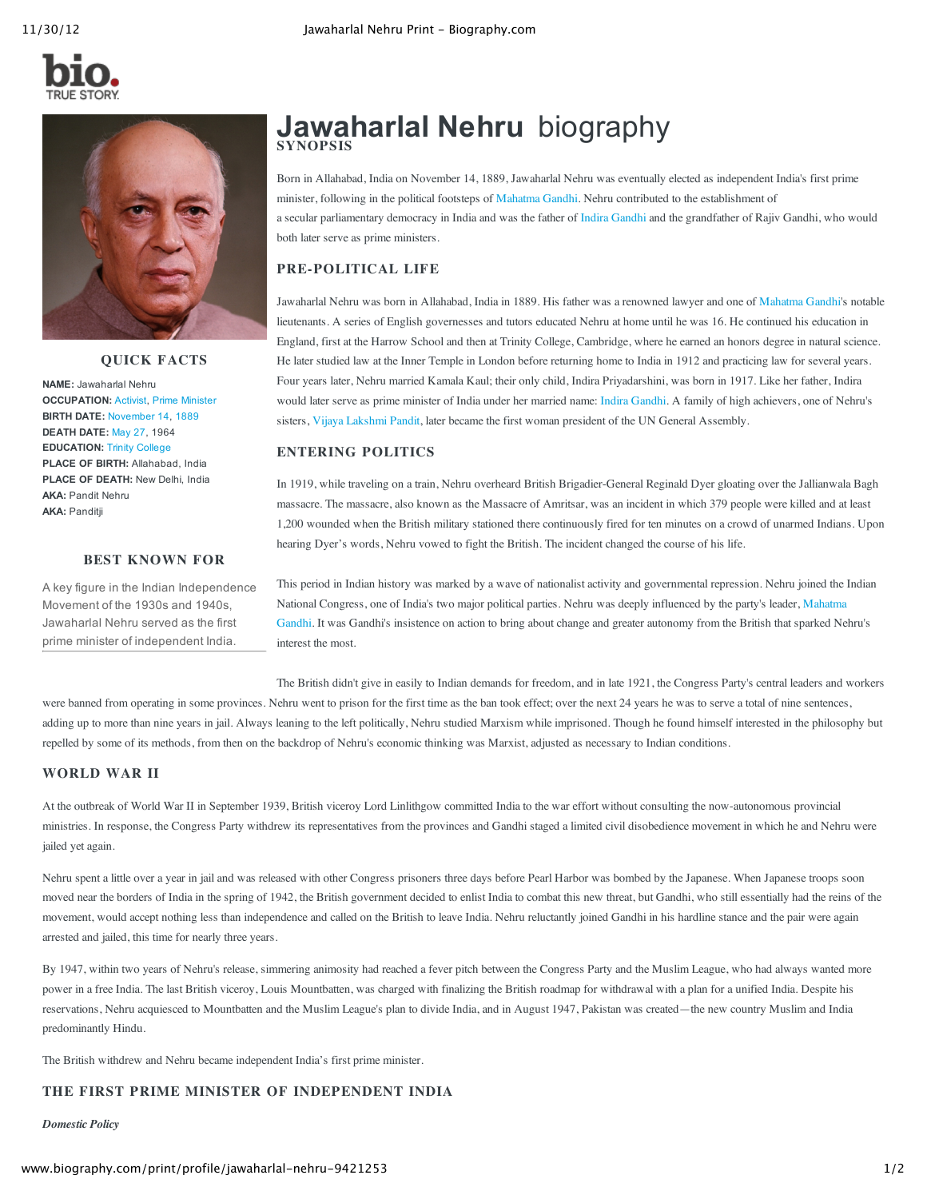



**QUICK FACTS**

**NAME:** Jawaharlal Nehru **OCCUPATION:** [Activist,](http://www.biography.com/people/groups/activists/) Prime [Minister](http://www.biography.com/people/groups/political-leaders/prime-ministers/) **BIRTH DATE:** [November](http://www.biography.com/people/groups/born-on-november-14/) 14, [1889](http://www.biography.com/people/groups/born-1889/) **DEATH DATE:** [May](http://www.biography.com/people/groups/died-on-may-27/) 27, 1964 **EDUCATION:** Trinity [College](http://www.biography.com/people/groups/famous-alumni-of-trinity-college/) **PLACE OF BIRTH:** Allahabad, India **PLACE OF DEATH:** New Delhi, India **AKA:** Pandit Nehru **AKA:** Panditji

# **BEST KNOWN FOR**

A key figure in the Indian Independence Movement of the 1930s and 1940s, Jawaharlal Nehru served as the first prime minister of independent India.

# **Jawaharlal Nehru** biography **SYNOPSIS**

Born in Allahabad, India on November 14, 1889, Jawaharlal Nehru was eventually elected as independent India's first prime minister, following in the political footsteps of [Mahatma](http://www.biography.com/people/mahatma-gandhi-9305898) Gandhi. Nehru contributed to the establishment of a secular parliamentary democracy in India and was the father of Indira [Gandhi](http://www.biography.com/people/indira-gandhi-9305913) and the grandfather of Rajiv Gandhi, who would both later serve as prime ministers.

# **PRE-POLITICAL LIFE**

Jawaharlal Nehru was born in Allahabad, India in 1889. His father was a renowned lawyer and one of [Mahatma](http://www.biography.com/people/mahatma-gandhi-9305898) Gandhi's notable lieutenants. A series of English governesses and tutors educated Nehru at home until he was 16. He continued his education in England, first at the Harrow School and then at Trinity College, Cambridge, where he earned an honors degree in natural science. He later studied law at the Inner Temple in London before returning home to India in 1912 and practicing law for several years. Four years later, Nehru married Kamala Kaul; their only child, Indira Priyadarshini, was born in 1917. Like her father, Indira would later serve as prime minister of India under her married name: Indira [Gandhi](http://www.biography.com/people/indira-gandhi-9305913). A family of high achievers, one of Nehru's sisters, Vijaya [Lakshmi](http://www.biography.com/people/vijaya-lakshmi-pandit-9432674) Pandit, later became the first woman president of the UN General Assembly.

# **ENTERING POLITICS**

In 1919, while traveling on a train, Nehru overheard British Brigadier-General Reginald Dyer gloating over the Jallianwala Bagh massacre. The massacre, also known as the Massacre of Amritsar, was an incident in which 379 people were killed and at least 1,200 wounded when the British military stationed there continuously fired for ten minutes on a crowd of unarmed Indians. Upon hearing Dyer's words, Nehru vowed to fight the British. The incident changed the course of his life.

This period in Indian history was marked by a wave of nationalist activity and governmental repression. Nehru joined the Indian National Congress, one of India's two major political parties. Nehru was deeply [influenced](http://www.biography.com/people/mahatma-gandhi-9305898) by the party's leader, Mahatma Gandhi. It was Gandhi's insistence on action to bring about change and greater autonomy from the British that sparked Nehru's interest the most.

The British didn't give in easily to Indian demands for freedom, and in late 1921, the Congress Party's central leaders and workers were banned from operating in some provinces. Nehru went to prison for the first time as the ban took effect; over the next 24 years he was to serve a total of nine sentences, adding up to more than nine years in jail. Always leaning to the left politically, Nehru studied Marxism while imprisoned. Though he found himself interested in the philosophy but repelled by some of its methods, from then on the backdrop of Nehru's economic thinking was Marxist, adjusted as necessary to Indian conditions.

# **WORLD WAR II**

At the outbreak of World War II in September 1939, British viceroy Lord Linlithgow committed India to the war effort without consulting the now-autonomous provincial ministries. In response, the Congress Party withdrew its representatives from the provinces and Gandhi staged a limited civil disobedience movement in which he and Nehru were jailed yet again.

Nehru spent a little over a year in jail and was released with other Congress prisoners three days before Pearl Harbor was bombed by the Japanese. When Japanese troops soon moved near the borders of India in the spring of 1942, the British government decided to enlist India to combat this new threat, but Gandhi, who still essentially had the reins of the movement, would accept nothing less than independence and called on the British to leave India. Nehru reluctantly joined Gandhi in his hardline stance and the pair were again arrested and jailed, this time for nearly three years.

By 1947, within two years of Nehru's release, simmering animosity had reached a fever pitch between the Congress Party and the Muslim League, who had always wanted more power in a free India. The last British viceroy, Louis Mountbatten, was charged with finalizing the British roadmap for withdrawal with a plan for a unified India. Despite his reservations, Nehru acquiesced to Mountbatten and the Muslim League's plan to divide India, and in August 1947, Pakistan was created—the new country Muslim and India predominantly Hindu.

The British withdrew and Nehru became independent India's first prime minister.

# **THE FIRST PRIME MINISTER OF INDEPENDENT INDIA**

*Domestic Policy*